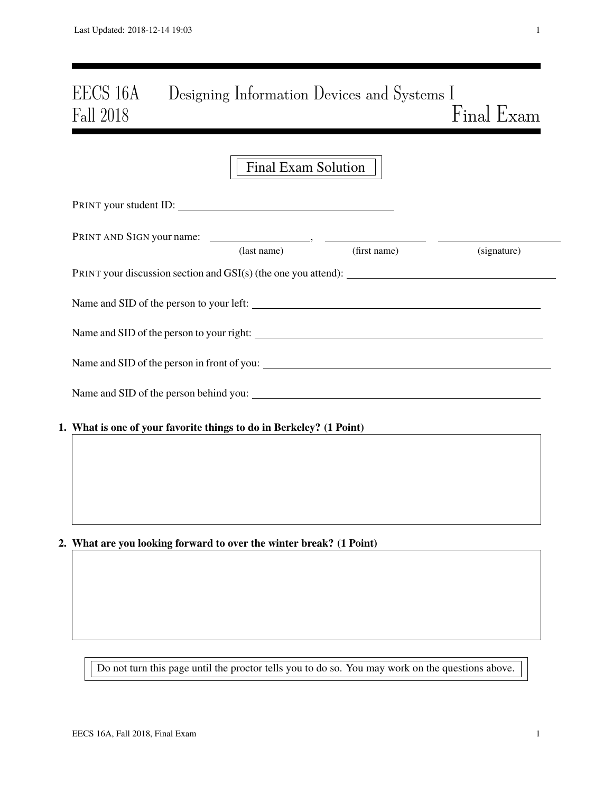# EECS 16A Designing Information Devices and Systems I Fall 2018 Final Exam

|                                                                     | <b>Final Exam Solution</b>                                                                                         |              |             |
|---------------------------------------------------------------------|--------------------------------------------------------------------------------------------------------------------|--------------|-------------|
|                                                                     |                                                                                                                    |              |             |
|                                                                     | (last name)                                                                                                        | (first name) | (signature) |
|                                                                     |                                                                                                                    |              |             |
|                                                                     |                                                                                                                    |              |             |
|                                                                     |                                                                                                                    |              |             |
|                                                                     |                                                                                                                    |              |             |
|                                                                     |                                                                                                                    |              |             |
| 1. What is one of your favorite things to do in Berkeley? (1 Point) |                                                                                                                    |              |             |
|                                                                     |                                                                                                                    |              |             |
|                                                                     |                                                                                                                    |              |             |
|                                                                     |                                                                                                                    |              |             |
|                                                                     | $\mathbf{a}$ and $\mathbf{a}$ and $\mathbf{a}$ and $\mathbf{a}$ and $\mathbf{a}$ and $\mathbf{a}$ and $\mathbf{a}$ |              |             |

## 2. What are you looking forward to over the winter break? (1 Point)

Do not turn this page until the proctor tells you to do so. You may work on the questions above.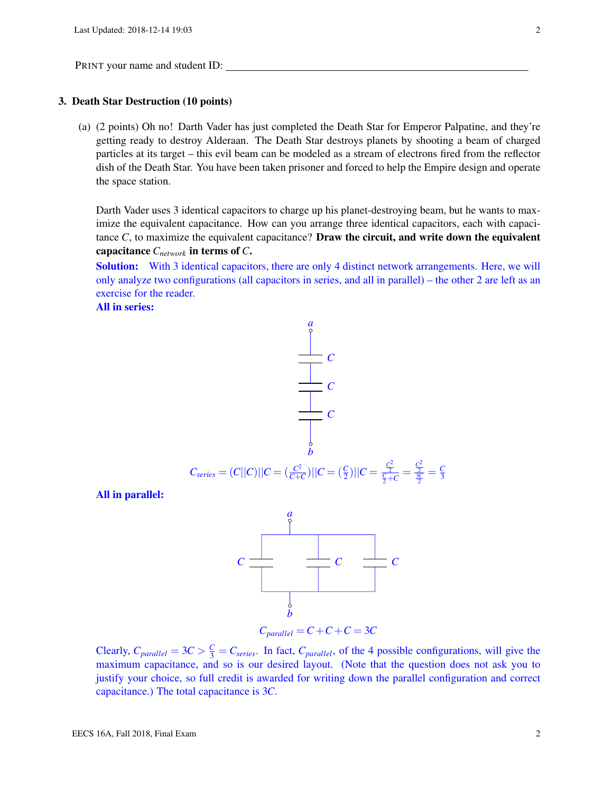#### 3. Death Star Destruction (10 points)

(a) (2 points) Oh no! Darth Vader has just completed the Death Star for Emperor Palpatine, and they're getting ready to destroy Alderaan. The Death Star destroys planets by shooting a beam of charged particles at its target – this evil beam can be modeled as a stream of electrons fired from the reflector dish of the Death Star. You have been taken prisoner and forced to help the Empire design and operate the space station.

Darth Vader uses 3 identical capacitors to charge up his planet-destroying beam, but he wants to maximize the equivalent capacitance. How can you arrange three identical capacitors, each with capacitance  $C$ , to maximize the equivalent capacitance? **Draw the circuit, and write down the equivalent** capacitance *Cnetwork* in terms of *C*.

Solution: With 3 identical capacitors, there are only 4 distinct network arrangements. Here, we will only analyze two configurations (all capacitors in series, and all in parallel) – the other 2 are left as an exercise for the reader.

All in series:



All in parallel:



Clearly,  $C_{parallel} = 3C > \frac{C}{3} = C_{series}$ . In fact,  $C_{parallel}$ , of the 4 possible configurations, will give the maximum capacitance, and so is our desired layout. (Note that the question does not ask you to justify your choice, so full credit is awarded for writing down the parallel configuration and correct capacitance.) The total capacitance is 3*C*.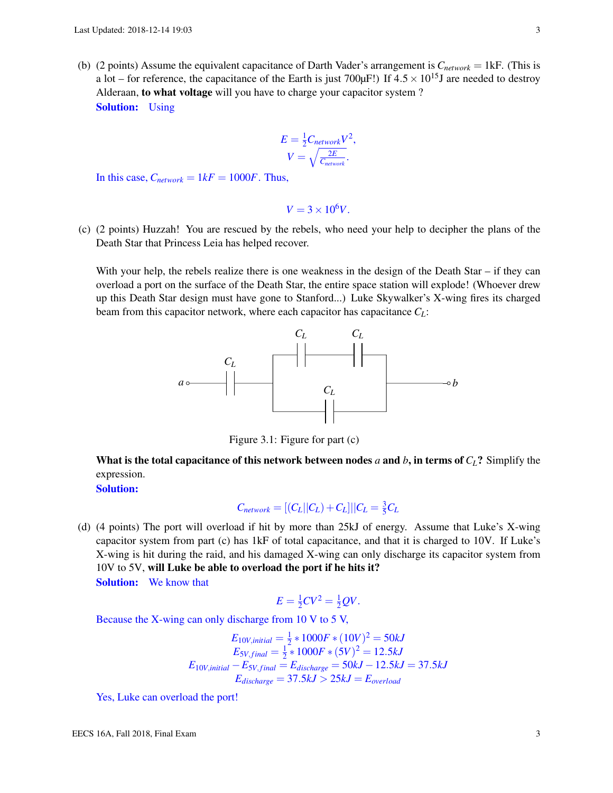(b) (2 points) Assume the equivalent capacitance of Darth Vader's arrangement is  $C_{network} = 1$ kF. (This is a lot – for reference, the capacitance of the Earth is just 700 $\mu$ F!) If 4.5  $\times$  10<sup>15</sup>J are needed to destroy Alderaan, to what voltage will you have to charge your capacitor system ? Solution: Using

$$
E = \frac{1}{2} C_{network} V^2,
$$
  

$$
V = \sqrt{\frac{2E}{C_{network}}}
$$

In this case,  $C_{network} = 1kF = 1000F$ . Thus,

$$
V=3\times10^6V.
$$

(c) (2 points) Huzzah! You are rescued by the rebels, who need your help to decipher the plans of the Death Star that Princess Leia has helped recover.

With your help, the rebels realize there is one weakness in the design of the Death Star – if they can overload a port on the surface of the Death Star, the entire space station will explode! (Whoever drew up this Death Star design must have gone to Stanford...) Luke Skywalker's X-wing fires its charged beam from this capacitor network, where each capacitor has capacitance *CL*:



Figure 3.1: Figure for part (c)

What is the total capacitance of this network between nodes *a* and *b*, in terms of  $C_L$ ? Simplify the expression.

Solution:

$$
C_{network} = [(C_L||C_L) + C_L]||C_L = \frac{3}{5}C_L
$$

(d) (4 points) The port will overload if hit by more than 25kJ of energy. Assume that Luke's X-wing capacitor system from part (c) has 1kF of total capacitance, and that it is charged to 10V. If Luke's X-wing is hit during the raid, and his damaged X-wing can only discharge its capacitor system from 10V to 5V, will Luke be able to overload the port if he hits it?

Solution: We know that

$$
E = \frac{1}{2}CV^2 = \frac{1}{2}QV.
$$

Because the X-wing can only discharge from 10 V to 5 V,

$$
E_{10V,initial} = \frac{1}{2} * 1000F * (10V)^{2} = 50kJ
$$
  
\n
$$
E_{5V,final} = \frac{1}{2} * 1000F * (5V)^{2} = 12.5kJ
$$
  
\n
$$
E_{10V,initial} - E_{5V,final} = E_{discharge} = 50kJ - 12.5kJ = 37.5kJ
$$
  
\n
$$
E_{discharge} = 37.5kJ > 25kJ = E_{overload}
$$

Yes, Luke can overload the port!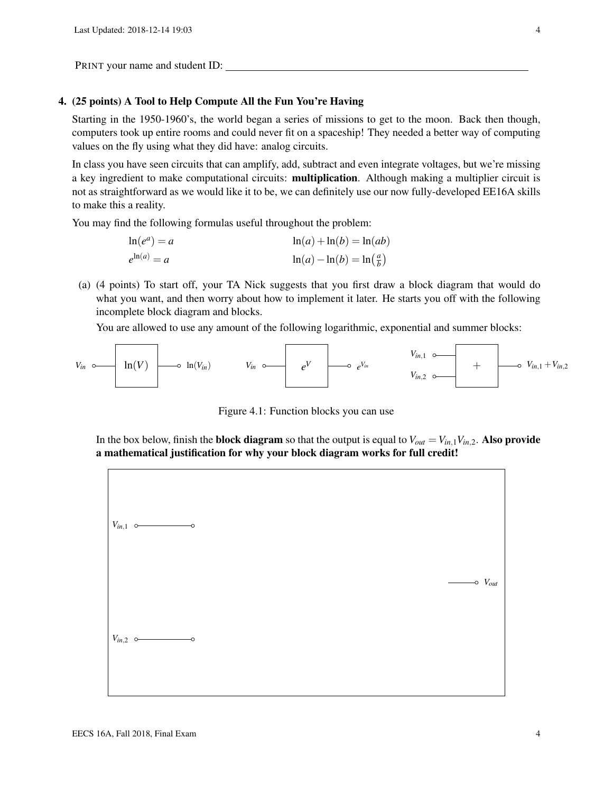#### 4. (25 points) A Tool to Help Compute All the Fun You're Having

Starting in the 1950-1960's, the world began a series of missions to get to the moon. Back then though, computers took up entire rooms and could never fit on a spaceship! They needed a better way of computing values on the fly using what they did have: analog circuits.

In class you have seen circuits that can amplify, add, subtract and even integrate voltages, but we're missing a key ingredient to make computational circuits: multiplication. Although making a multiplier circuit is not as straightforward as we would like it to be, we can definitely use our now fully-developed EE16A skills to make this a reality.

You may find the following formulas useful throughout the problem:

$$
\ln(e^a) = a
$$
  
\n
$$
\ln(a) + \ln(b) = \ln(ab)
$$
  
\n
$$
\ln(a) - \ln(b) = \ln\left(\frac{a}{b}\right)
$$

(a) (4 points) To start off, your TA Nick suggests that you first draw a block diagram that would do what you want, and then worry about how to implement it later. He starts you off with the following incomplete block diagram and blocks.

You are allowed to use any amount of the following logarithmic, exponential and summer blocks:



Figure 4.1: Function blocks you can use

In the box below, finish the **block diagram** so that the output is equal to  $V_{out} = V_{in,1}V_{in,2}$ . Also provide a mathematical justification for why your block diagram works for full credit!

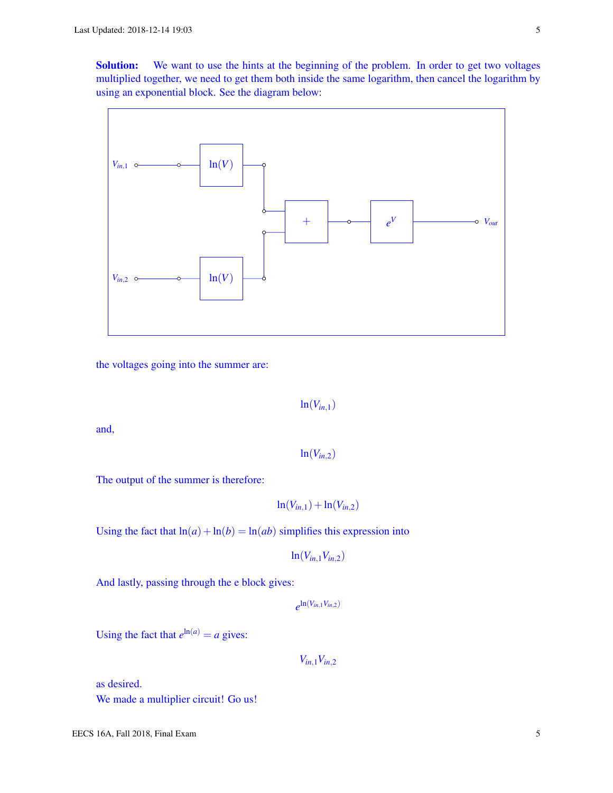Solution: We want to use the hints at the beginning of the problem. In order to get two voltages multiplied together, we need to get them both inside the same logarithm, then cancel the logarithm by using an exponential block. See the diagram below:



the voltages going into the summer are:

$$
\ln(V_{in,1})
$$

and,

$$
\ln(V_{in,2})
$$

The output of the summer is therefore:

$$
\ln(V_{in,1}) + \ln(V_{in,2})
$$

Using the fact that  $ln(a) + ln(b) = ln(ab)$  simplifies this expression into

$$
\ln(V_{in,1}V_{in,2})
$$

And lastly, passing through the e block gives:

$$
e^{\ln(V_{in,1}V_{in,2})}
$$

Using the fact that  $e^{\ln(a)} = a$  gives:

*Vin*,1*Vin*,<sup>2</sup>

as desired. We made a multiplier circuit! Go us!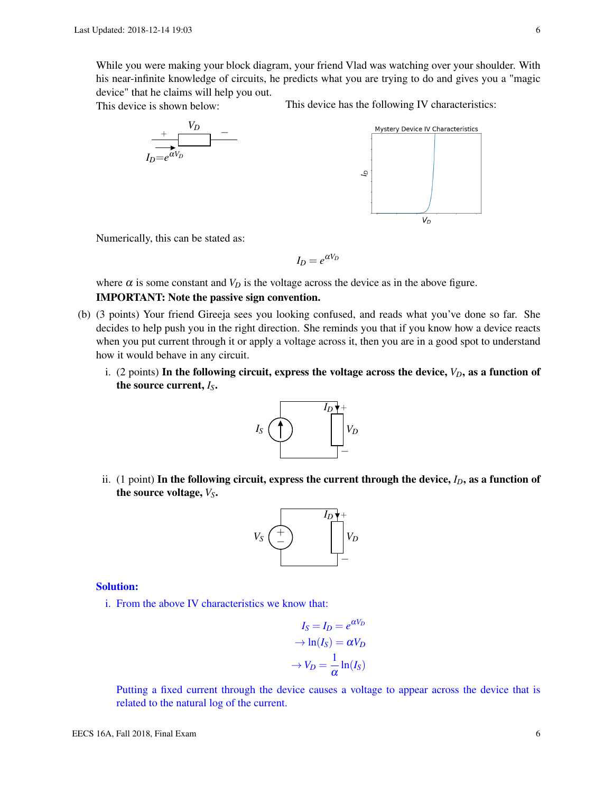While you were making your block diagram, your friend Vlad was watching over your shoulder. With his near-infinite knowledge of circuits, he predicts what you are trying to do and gives you a "magic device" that he claims will help you out.

This device is shown below:

This device has the following IV characteristics:

 $V_D$ 



Numerically, this can be stated as:

$$
I_D = e^{\alpha V_D}
$$

where  $\alpha$  is some constant and  $V_D$  is the voltage across the device as in the above figure.

## IMPORTANT: Note the passive sign convention.

- (b) (3 points) Your friend Gireeja sees you looking confused, and reads what you've done so far. She decides to help push you in the right direction. She reminds you that if you know how a device reacts when you put current through it or apply a voltage across it, then you are in a good spot to understand how it would behave in any circuit.
	- i. (2 points) In the following circuit, express the voltage across the device,  $V_D$ , as a function of the source current, *IS*.



ii. (1 point) In the following circuit, express the current through the device,  $I_D$ , as a function of the source voltage, *VS*.



#### Solution:

i. From the above IV characteristics we know that:

$$
I_S = I_D = e^{\alpha V_D}
$$

$$
\rightarrow \ln(I_S) = \alpha V_D
$$

$$
\rightarrow V_D = \frac{1}{\alpha} \ln(I_S)
$$

Putting a fixed current through the device causes a voltage to appear across the device that is related to the natural log of the current.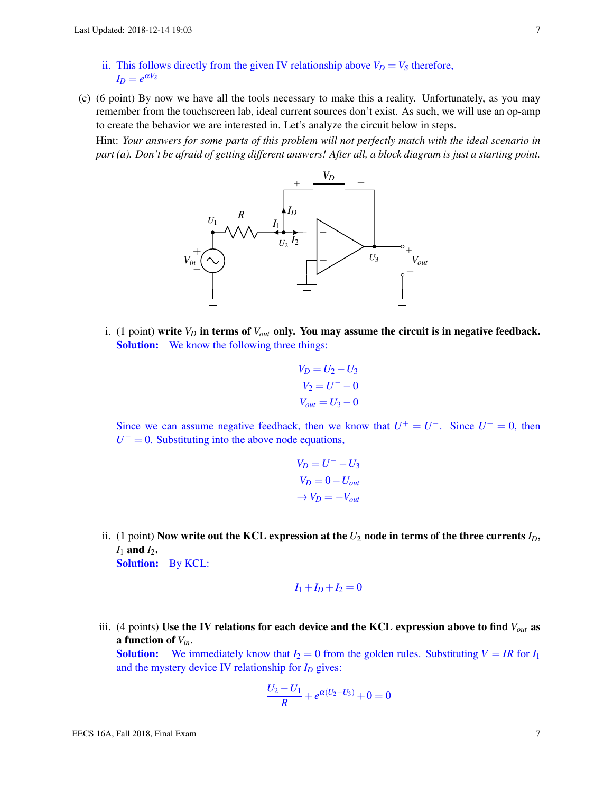- ii. This follows directly from the given IV relationship above  $V_D = V_S$  therefore,  $I_D = e^{\alpha V_S}$
- <span id="page-6-0"></span>(c) (6 point) By now we have all the tools necessary to make this a reality. Unfortunately, as you may remember from the touchscreen lab, ideal current sources don't exist. As such, we will use an op-amp to create the behavior we are interested in. Let's analyze the circuit below in steps.

Hint: *Your answers for some parts of this problem will not perfectly match with the ideal scenario in part (a). Don't be afraid of getting different answers! After all, a block diagram is just a starting point.*



i. (1 point) write  $V_D$  in terms of  $V_{out}$  only. You may assume the circuit is in negative feedback. Solution: We know the following three things:

$$
V_D = U_2 - U_3
$$
  

$$
V_2 = U^- - 0
$$
  

$$
V_{out} = U_3 - 0
$$

Since we can assume negative feedback, then we know that  $U^+ = U^-$ . Since  $U^+ = 0$ , then  $U^- = 0$ . Substituting into the above node equations,

$$
V_D = U^- - U_3
$$
  

$$
V_D = 0 - U_{out}
$$
  

$$
\rightarrow V_D = -V_{out}
$$

ii. (1 point) Now write out the KCL expression at the  $U_2$  node in terms of the three currents  $I_D$ , *I*<sup>1</sup> and *I*2. Solution: By KCL:

$$
I_1 + I_D + I_2 = 0
$$

iii. (4 points) Use the IV relations for each device and the KCL expression above to find *Vout* as a function of *Vin*.

**Solution:** We immediately know that  $I_2 = 0$  from the golden rules. Substituting  $V = IR$  for  $I_1$ and the mystery device IV relationship for *I<sup>D</sup>* gives:

$$
\frac{U_2 - U_1}{R} + e^{\alpha(U_2 - U_3)} + 0 = 0
$$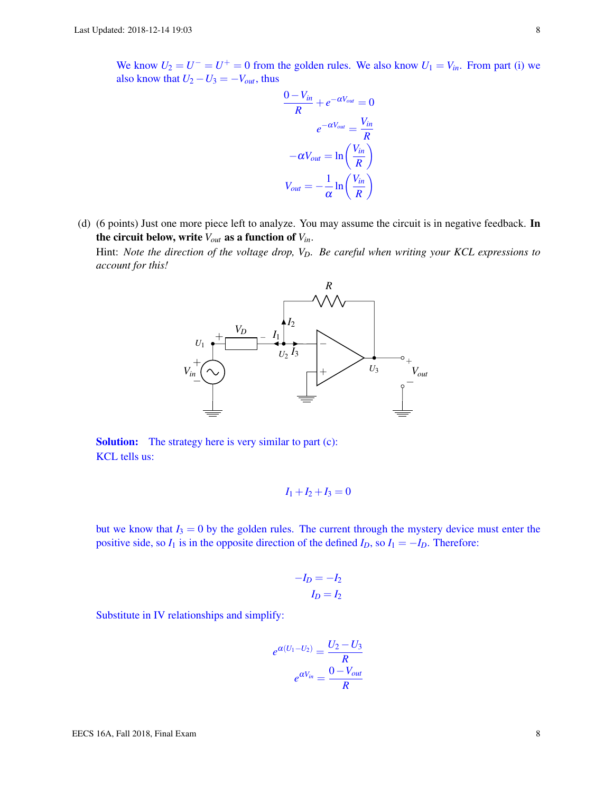We know  $U_2 = U^- = U^+ = 0$  from the golden rules. We also know  $U_1 = V_{in}$ . From part (i) we also know that  $U_2 - U_3 = -V_{out}$ , thus

$$
\frac{0 - V_{in}}{R} + e^{-\alpha V_{out}} = 0
$$

$$
e^{-\alpha V_{out}} = \frac{V_{in}}{R}
$$

$$
-\alpha V_{out} = \ln\left(\frac{V_{in}}{R}\right)
$$

$$
V_{out} = -\frac{1}{\alpha} \ln\left(\frac{V_{in}}{R}\right)
$$

<span id="page-7-0"></span>(d) (6 points) Just one more piece left to analyze. You may assume the circuit is in negative feedback. In the circuit below, write *Vout* as a function of *Vin*.

Hint: *Note the direction of the voltage drop, VD. Be careful when writing your KCL expressions to account for this!*



Solution: The strategy here is very similar to part (c): KCL tells us:

$$
I_1+I_2+I_3=0
$$

but we know that  $I_3 = 0$  by the golden rules. The current through the mystery device must enter the positive side, so  $I_1$  is in the opposite direction of the defined  $I_D$ , so  $I_1 = -I_D$ . Therefore:

$$
-I_D = -I_2
$$

$$
I_D = I_2
$$

Substitute in IV relationships and simplify:

$$
e^{\alpha(U_1-U_2)} = \frac{U_2-U_3}{R}
$$

$$
e^{\alpha V_{in}} = \frac{0-V_{out}}{R}
$$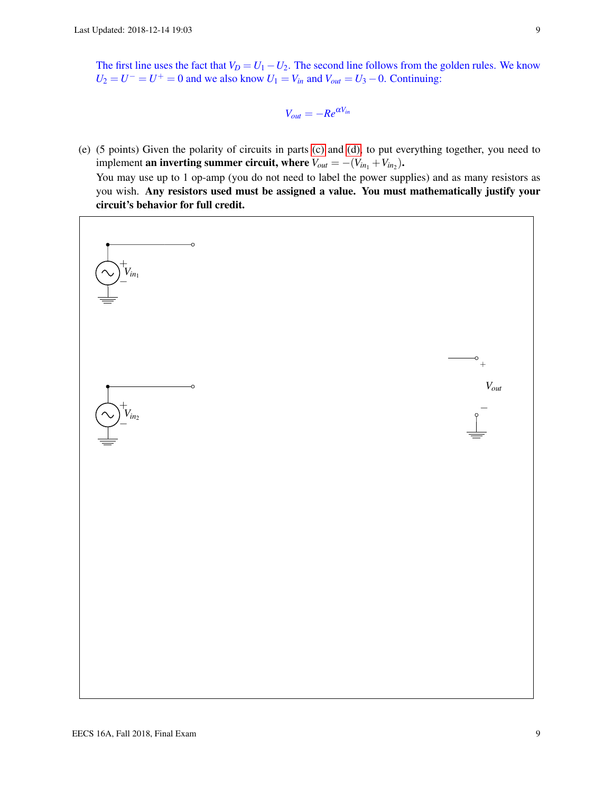The first line uses the fact that  $V_D = U_1 - U_2$ . The second line follows from the golden rules. We know  $U_2 = U^- = U^+ = 0$  and we also know  $U_1 = V_{in}$  and  $V_{out} = U_3 - 0$ . Continuing:

$$
V_{out} = -Re^{\alpha V_{in}}
$$

(e) (5 points) Given the polarity of circuits in parts [\(c\)](#page-6-0) and [\(d\),](#page-7-0) to put everything together, you need to implement **an inverting summer circuit, where**  $V_{out} = -(V_{in_1} + V_{in_2})$ . You may use up to 1 op-amp (you do not need to label the power supplies) and as many resistors as you wish. Any resistors used must be assigned a value. You must mathematically justify your circuit's behavior for full credit.

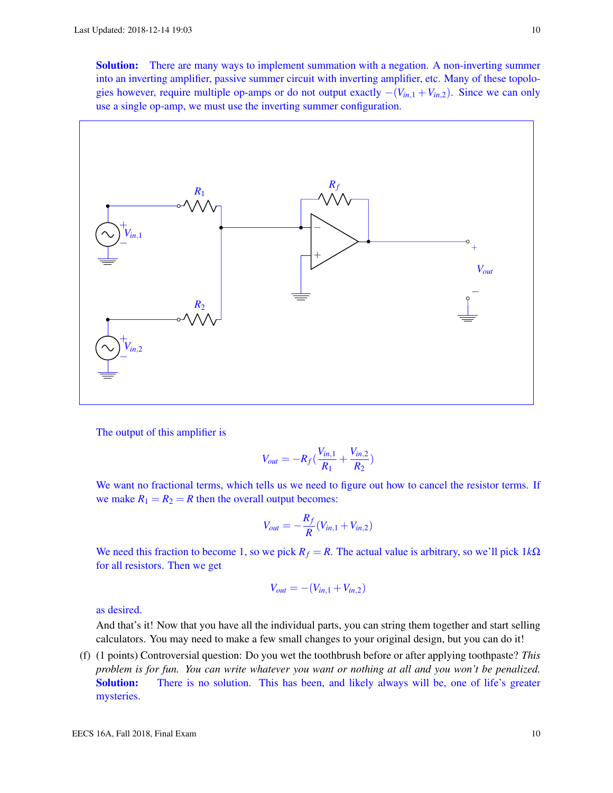**Solution:** There are many ways to implement summation with a negation. A non-inverting summer into an inverting amplifier, passive summer circuit with inverting amplifier, etc. Many of these topologies however, require multiple op-amps or do not output exactly −(*Vin*,<sup>1</sup> +*Vin*,2). Since we can only use a single op-amp, we must use the inverting summer configuration.



The output of this amplifier is

$$
V_{out} = -R_f(\frac{V_{in,1}}{R_1} + \frac{V_{in,2}}{R_2})
$$

We want no fractional terms, which tells us we need to figure out how to cancel the resistor terms. If we make  $R_1 = R_2 = R$  then the overall output becomes:

$$
V_{out} = -\frac{R_f}{R}(V_{in,1} + V_{in,2})
$$

We need this fraction to become 1, so we pick  $R_f = R$ . The actual value is arbitrary, so we'll pick  $1k\Omega$ for all resistors. Then we get

$$
V_{out} = -(V_{in,1} + V_{in,2})
$$

as desired.

And that's it! Now that you have all the individual parts, you can string them together and start selling calculators. You may need to make a few small changes to your original design, but you can do it!

(f) (1 points) Controversial question: Do you wet the toothbrush before or after applying toothpaste? *This problem is for fun. You can write whatever you want or nothing at all and you won't be penalized.* Solution: There is no solution. This has been, and likely always will be, one of life's greater mysteries.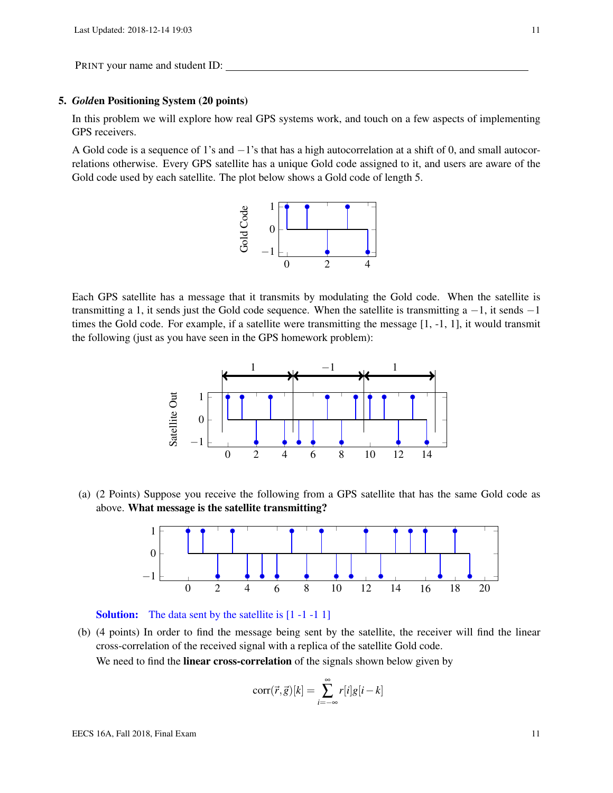#### 5. *Gold*en Positioning System (20 points)

In this problem we will explore how real GPS systems work, and touch on a few aspects of implementing GPS receivers.

A Gold code is a sequence of 1's and −1's that has a high autocorrelation at a shift of 0, and small autocorrelations otherwise. Every GPS satellite has a unique Gold code assigned to it, and users are aware of the Gold code used by each satellite. The plot below shows a Gold code of length 5.



Each GPS satellite has a message that it transmits by modulating the Gold code. When the satellite is transmitting a 1, it sends just the Gold code sequence. When the satellite is transmitting a  $-1$ , it sends  $-1$ times the Gold code. For example, if a satellite were transmitting the message [1, -1, 1], it would transmit the following (just as you have seen in the GPS homework problem):



(a) (2 Points) Suppose you receive the following from a GPS satellite that has the same Gold code as above. What message is the satellite transmitting?





(b) (4 points) In order to find the message being sent by the satellite, the receiver will find the linear cross-correlation of the received signal with a replica of the satellite Gold code. We need to find the **linear cross-correlation** of the signals shown below given by

$$
corr(\vec{r}, \vec{g})[k] = \sum_{i=-\infty}^{\infty} r[i]g[i-k]
$$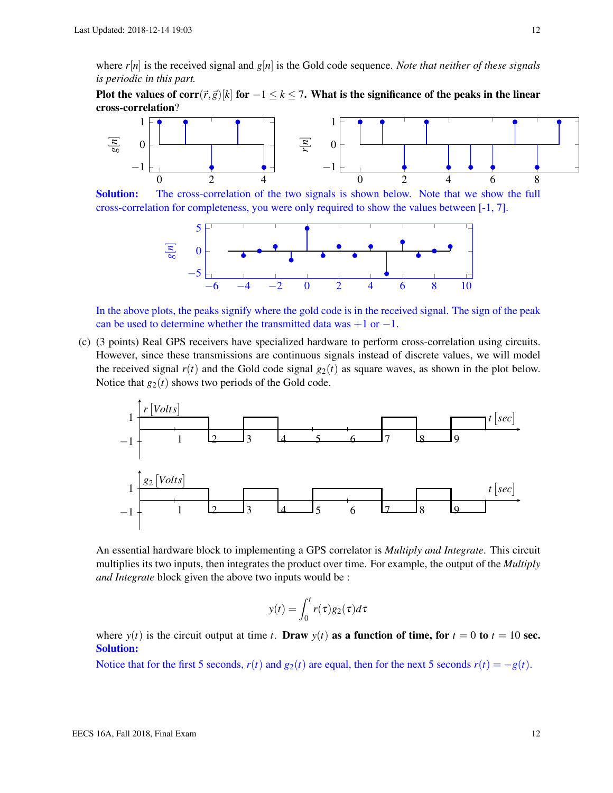where  $r[n]$  is the received signal and  $g[n]$  is the Gold code sequence. *Note that neither of these signals is periodic in this part.*

Plot the values of corr $(\vec{r}, \vec{g})[k]$  for  $-1 \leq k \leq 7$ . What is the significance of the peaks in the linear cross-correlation?



**Solution:** The cross-correlation of the two signals is shown below. Note that we show the full cross-correlation for completeness, you were only required to show the values between [-1, 7].



In the above plots, the peaks signify where the gold code is in the received signal. The sign of the peak can be used to determine whether the transmitted data was  $+1$  or  $-1$ .

(c) (3 points) Real GPS receivers have specialized hardware to perform cross-correlation using circuits. However, since these transmissions are continuous signals instead of discrete values, we will model the received signal  $r(t)$  and the Gold code signal  $g_2(t)$  as square waves, as shown in the plot below. Notice that  $g_2(t)$  shows two periods of the Gold code.



An essential hardware block to implementing a GPS correlator is *Multiply and Integrate*. This circuit multiplies its two inputs, then integrates the product over time. For example, the output of the *Multiply and Integrate* block given the above two inputs would be :

$$
y(t) = \int_0^t r(\tau)g_2(\tau)d\tau
$$

where  $y(t)$  is the circuit output at time *t*. Draw  $y(t)$  as a function of time, for  $t = 0$  to  $t = 10$  sec. Solution:

Notice that for the first 5 seconds,  $r(t)$  and  $g_2(t)$  are equal, then for the next 5 seconds  $r(t) = -g(t)$ .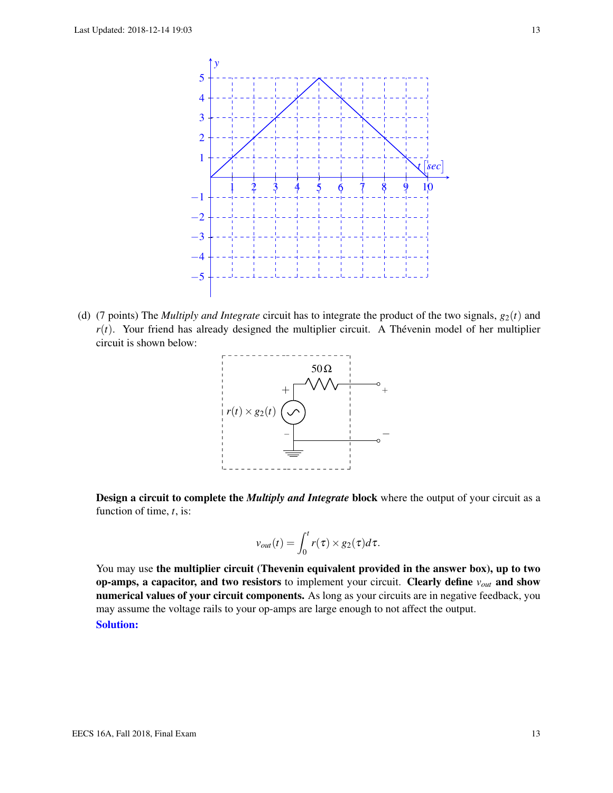

(d) (7 points) The *Multiply and Integrate* circuit has to integrate the product of the two signals,  $g_2(t)$  and  $r(t)$ . Your friend has already designed the multiplier circuit. A Thévenin model of her multiplier circuit is shown below:



Design a circuit to complete the *Multiply and Integrate* block where the output of your circuit as a function of time, *t*, is:

$$
v_{out}(t) = \int_0^t r(\tau) \times g_2(\tau) d\tau.
$$

You may use the multiplier circuit (Thevenin equivalent provided in the answer box), up to two op-amps, a capacitor, and two resistors to implement your circuit. Clearly define *vout* and show numerical values of your circuit components. As long as your circuits are in negative feedback, you may assume the voltage rails to your op-amps are large enough to not affect the output. Solution: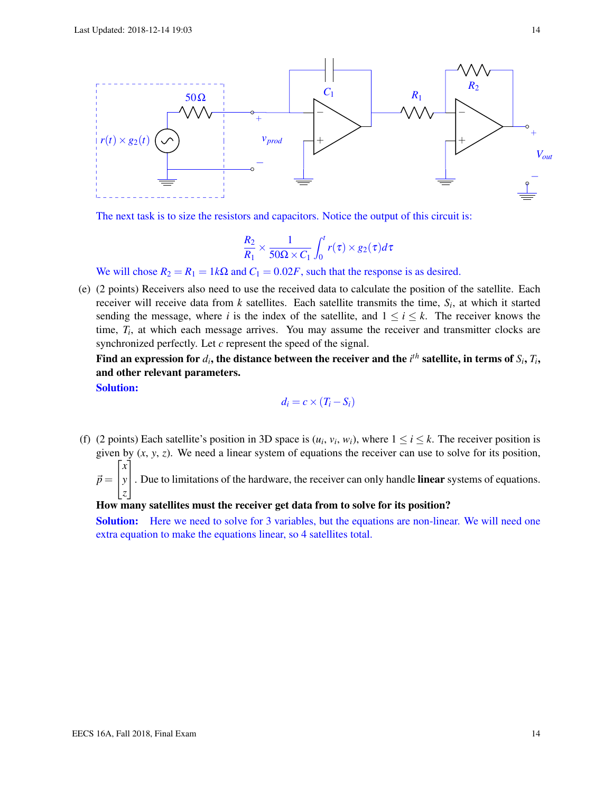

The next task is to size the resistors and capacitors. Notice the output of this circuit is:

$$
\frac{R_2}{R_1} \times \frac{1}{50\Omega \times C_1} \int_0^t r(\tau) \times g_2(\tau) d\tau
$$

We will chose  $R_2 = R_1 = 1k\Omega$  and  $C_1 = 0.02F$ , such that the response is as desired.

(e) (2 points) Receivers also need to use the received data to calculate the position of the satellite. Each receiver will receive data from *k* satellites. Each satellite transmits the time, *S<sup>i</sup>* , at which it started sending the message, where *i* is the index of the satellite, and  $1 \le i \le k$ . The receiver knows the time, *T<sup>i</sup>* , at which each message arrives. You may assume the receiver and transmitter clocks are synchronized perfectly. Let *c* represent the speed of the signal.

Find an expression for  $d_i$ , the distance between the receiver and the  $i^{th}$  satellite, in terms of  $S_i,$   $T_i,$ and other relevant parameters.

Solution:

$$
d_i = c \times (T_i - S_i)
$$

(f) (2 points) Each satellite's position in 3D space is  $(u_i, v_i, w_i)$ , where  $1 \le i \le k$ . The receiver position is given by  $(x, y, z)$ . We need a linear system of equations the receiver can use to solve for its position,  $\sqrt{ }$ *x* 1

 $\vec{p} =$  $\vert$ *y z* . Due to limitations of the hardware, the receiver can only handle **linear** systems of equations.

## How many satellites must the receiver get data from to solve for its position?

Solution: Here we need to solve for 3 variables, but the equations are non-linear. We will need one extra equation to make the equations linear, so 4 satellites total.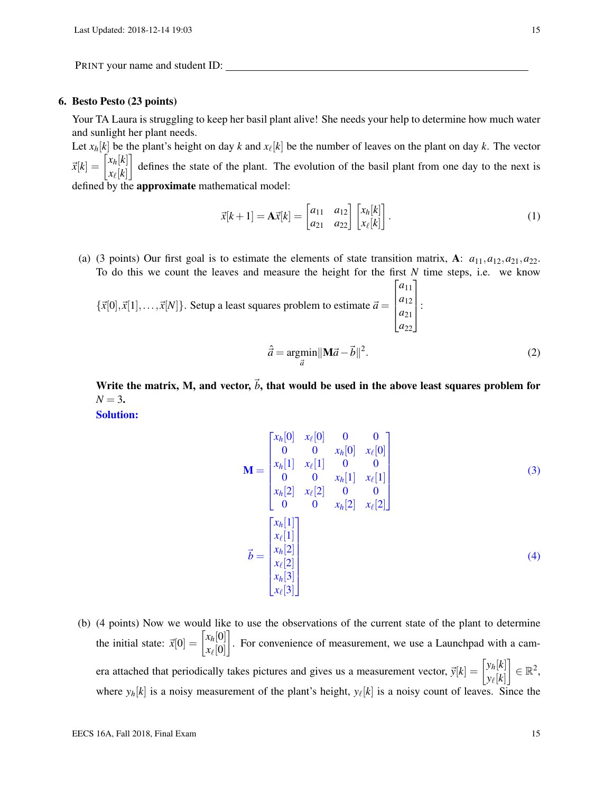#### 6. Besto Pesto (23 points)

Your TA Laura is struggling to keep her basil plant alive! She needs your help to determine how much water and sunlight her plant needs.

Let  $x_h[k]$  be the plant's height on day  $k$  and  $x_\ell[k]$  be the number of leaves on the plant on day  $k$ . The vector  $\vec{x}[k] = \begin{bmatrix} x_h[k] \\ \dots[t] \end{bmatrix}$  $x_{\ell}[k]$  defines the state of the plant. The evolution of the basil plant from one day to the next is defined by the approximate mathematical model:

$$
\vec{x}[k+1] = \mathbf{A}\vec{x}[k] = \begin{bmatrix} a_{11} & a_{12} \\ a_{21} & a_{22} \end{bmatrix} \begin{bmatrix} x_h[k] \\ x_{\ell}[k] \end{bmatrix}.
$$
 (1)

(a) (3 points) Our first goal is to estimate the elements of state transition matrix, A:  $a_{11}, a_{12}, a_{21}, a_{22}$ . To do this we count the leaves and measure the height for the first *N* time steps, i.e. we know

 ${\{\vec{x}[0],\vec{x}[1],\ldots,\vec{x}[N]\}}$ . Setup a least squares problem to estimate  $\vec{a} =$  $\sqrt{ }$  $\overline{\phantom{a}}$ *a*<sup>11</sup> *a*<sup>12</sup> *a*<sup>21</sup> *a*<sup>22</sup> 1  $\parallel$ :

$$
\hat{\vec{a}} = \underset{\vec{a}}{\operatorname{argmin}} ||\mathbf{M}\vec{a} - \vec{b}||^2. \tag{2}
$$

Write the matrix, M, and vector,  $\vec{b}$ , that would be used in the above least squares problem for  $N = 3.$ 

Solution:

$$
\mathbf{M} = \begin{bmatrix} x_h[0] & x_{\ell}[0] & 0 & 0 \\ 0 & 0 & x_h[0] & x_{\ell}[0] \\ x_h[1] & x_{\ell}[1] & 0 & 0 \\ 0 & 0 & x_h[1] & x_{\ell}[1] \\ x_h[2] & x_{\ell}[2] & 0 & 0 \\ 0 & 0 & x_h[2] & x_{\ell}[2] \end{bmatrix}
$$
(3)  

$$
\vec{b} = \begin{bmatrix} x_h[1] \\ x_{\ell}[1] \\ x_{\ell}[2] \\ x_{\ell}[2] \\ x_{\ell}[3] \\ x_{\ell}[3] \end{bmatrix}
$$
(4)

(b) (4 points) Now we would like to use the observations of the current state of the plant to determine the initial state:  $\vec{x}[0] = \begin{bmatrix} x_h[0] \\ x_h[0] \end{bmatrix}$ *x*` [0] . For convenience of measurement, we use a Launchpad with a camera attached that periodically takes pictures and gives us a measurement vector,  $\vec{y}[k] = \begin{bmatrix} y_h[k] \\ \vdots \\ y_h[k] \end{bmatrix}$  $y_{\ell}[k]$  $\Big] \in \mathbb{R}^2,$ where  $y_h[k]$  is a noisy measurement of the plant's height,  $y_\ell[k]$  is a noisy count of leaves. Since the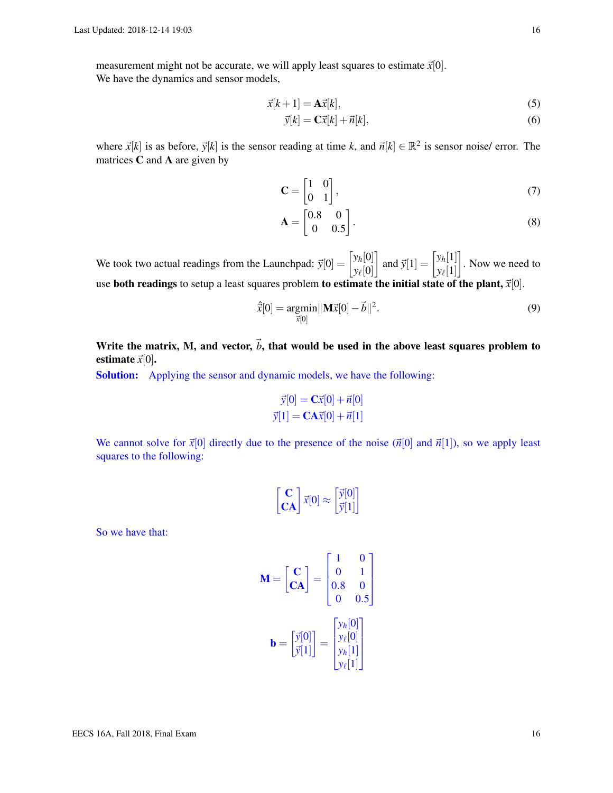measurement might not be accurate, we will apply least squares to estimate  $\vec{x}[0]$ .

We have the dynamics and sensor models,

$$
\vec{x}[k+1] = \mathbf{A}\vec{x}[k],\tag{5}
$$

$$
\vec{y}[k] = \mathbf{C}\vec{x}[k] + \vec{n}[k],\tag{6}
$$

where  $\vec{x}[k]$  is as before,  $\vec{y}[k]$  is the sensor reading at time k, and  $\vec{n}[k] \in \mathbb{R}^2$  is sensor noise/ error. The matrices C and A are given by

$$
\mathbf{C} = \begin{bmatrix} 1 & 0 \\ 0 & 1 \end{bmatrix},\tag{7}
$$

$$
\mathbf{A} = \begin{bmatrix} 0.8 & 0 \\ 0 & 0.5 \end{bmatrix} . \tag{8}
$$

We took two actual readings from the Launchpad:  $\vec{y}[0] = \begin{bmatrix} y_h[0] \\ y_h[0] \end{bmatrix}$ *y*` [0] and  $\vec{y}[1] = \begin{bmatrix} y_h[1] \\ y_h[1] \end{bmatrix}$  $y_{\ell}[1]$  . Now we need to use both readings to setup a least squares problem to estimate the initial state of the plant,  $\vec{x}[0]$ .

$$
\hat{\vec{x}}[0] = \underset{\vec{x}[0]}{\text{argmin}} ||\mathbf{M}\vec{x}[0] - \vec{b}||^2. \tag{9}
$$

Write the matrix, M, and vector,  $\vec{b}$ , that would be used in the above least squares problem to estimate  $\vec{x}[0]$ .

Solution: Applying the sensor and dynamic models, we have the following:

$$
\vec{y}[0] = \mathbf{C}\vec{x}[0] + \vec{n}[0]
$$

$$
\vec{y}[1] = \mathbf{C}\mathbf{A}\vec{x}[0] + \vec{n}[1]
$$

We cannot solve for  $\vec{x}[0]$  directly due to the presence of the noise  $(\vec{n}[0]$  and  $\vec{n}[1]$ ), so we apply least squares to the following:

$$
\begin{bmatrix} \mathbf{C} \\ \mathbf{CA} \end{bmatrix} \vec{x}[0] \approx \begin{bmatrix} \vec{y}[0] \\ \vec{y}[1] \end{bmatrix}
$$

So we have that:

$$
\mathbf{M} = \begin{bmatrix} \mathbf{C} \\ \mathbf{CA} \end{bmatrix} = \begin{bmatrix} 1 & 0 \\ 0 & 1 \\ 0.8 & 0 \\ 0 & 0.5 \end{bmatrix}
$$

$$
\mathbf{b} = \begin{bmatrix} \vec{y}[0] \\ \vec{y}[1] \end{bmatrix} = \begin{bmatrix} y_h[0] \\ y_\ell[0] \\ y_h[1] \\ y_\ell[1] \end{bmatrix}
$$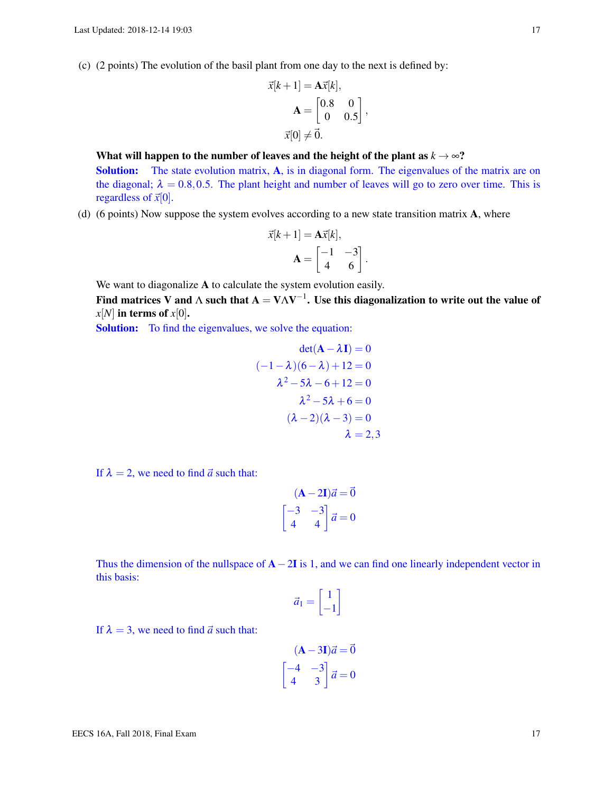(c) (2 points) The evolution of the basil plant from one day to the next is defined by:

$$
\vec{x}[k+1] = \mathbf{A}\vec{x}[k],
$$

$$
\mathbf{A} = \begin{bmatrix} 0.8 & 0 \\ 0 & 0.5 \end{bmatrix},
$$

$$
\vec{x}[0] \neq \vec{0}.
$$

What will happen to the number of leaves and the height of the plant as  $k \to \infty$ ? Solution: The state evolution matrix, A, is in diagonal form. The eigenvalues of the matrix are on the diagonal;  $\lambda = 0.8, 0.5$ . The plant height and number of leaves will go to zero over time. This is regardless of  $\vec{x}[0]$ .

(d) (6 points) Now suppose the system evolves according to a new state transition matrix A, where

$$
\vec{x}[k+1] = \mathbf{A}\vec{x}[k],
$$

$$
\mathbf{A} = \begin{bmatrix} -1 & -3 \\ 4 & 6 \end{bmatrix}.
$$

We want to diagonalize A to calculate the system evolution easily.

Find matrices V and  $\Lambda$  such that  ${\bf A} = {\bf V} \Lambda {\bf V}^{-1}.$  Use this diagonalization to write out the value of  $x[N]$  in terms of  $x[0]$ .

Solution: To find the eigenvalues, we solve the equation:

$$
det(\mathbf{A} - \lambda \mathbf{I}) = 0
$$
  

$$
(-1 - \lambda)(6 - \lambda) + 12 = 0
$$
  

$$
\lambda^2 - 5\lambda - 6 + 12 = 0
$$
  

$$
\lambda^2 - 5\lambda + 6 = 0
$$
  

$$
(\lambda - 2)(\lambda - 3) = 0
$$
  

$$
\lambda = 2, 3
$$

If  $\lambda = 2$ , we need to find  $\vec{a}$  such that:

$$
(\mathbf{A} - 2\mathbf{I})\vec{a} = \vec{0}
$$

$$
\begin{bmatrix} -3 & -3 \\ 4 & 4 \end{bmatrix} \vec{a} = 0
$$

Thus the dimension of the nullspace of  $A-2I$  is 1, and we can find one linearly independent vector in this basis:

$$
\vec{a}_1 = \begin{bmatrix} 1 \\ -1 \end{bmatrix}
$$

If  $\lambda = 3$ , we need to find  $\vec{a}$  such that:

$$
(\mathbf{A} - 3\mathbf{I})\vec{a} = \vec{0}
$$

$$
\begin{bmatrix} -4 & -3 \\ 4 & 3 \end{bmatrix} \vec{a} = 0
$$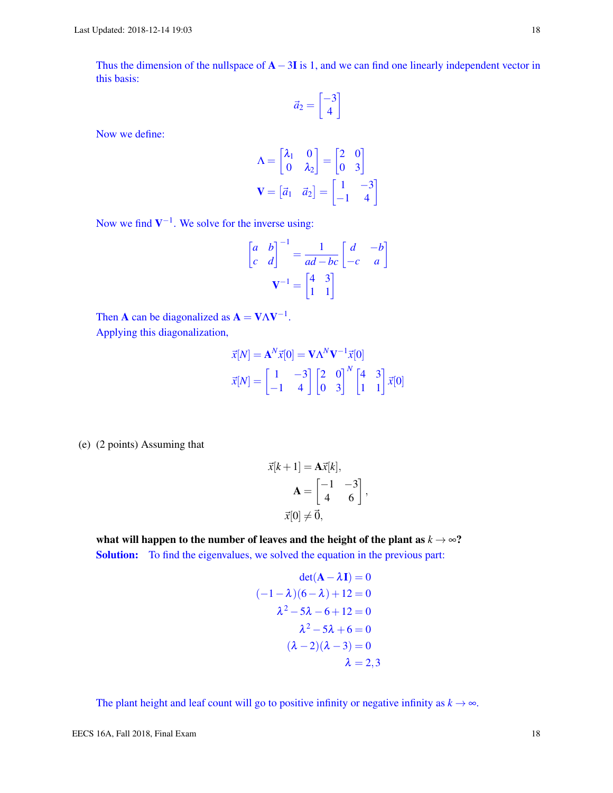Thus the dimension of the nullspace of  $A-3I$  is 1, and we can find one linearly independent vector in this basis:

$$
\vec{a}_2 = \begin{bmatrix} -3\\4 \end{bmatrix}
$$

Now we define:

$$
\Lambda = \begin{bmatrix} \lambda_1 & 0 \\ 0 & \lambda_2 \end{bmatrix} = \begin{bmatrix} 2 & 0 \\ 0 & 3 \end{bmatrix}
$$

$$
\mathbf{V} = \begin{bmatrix} \vec{a}_1 & \vec{a}_2 \end{bmatrix} = \begin{bmatrix} 1 & -3 \\ -1 & 4 \end{bmatrix}
$$

Now we find  $V^{-1}$ . We solve for the inverse using:

$$
\begin{bmatrix} a & b \\ c & d \end{bmatrix}^{-1} = \frac{1}{ad - bc} \begin{bmatrix} d & -b \\ -c & a \end{bmatrix}
$$

$$
\mathbf{V}^{-1} = \begin{bmatrix} 4 & 3 \\ 1 & 1 \end{bmatrix}
$$

Then **A** can be diagonalized as  $A = V\Lambda V^{-1}$ . Applying this diagonalization,

$$
\vec{x}[N] = \mathbf{A}^N \vec{x}[0] = \mathbf{V} \Lambda^N \mathbf{V}^{-1} \vec{x}[0]
$$

$$
\vec{x}[N] = \begin{bmatrix} 1 & -3 \\ -1 & 4 \end{bmatrix} \begin{bmatrix} 2 & 0 \\ 0 & 3 \end{bmatrix}^N \begin{bmatrix} 4 & 3 \\ 1 & 1 \end{bmatrix} \vec{x}[0]
$$

(e) (2 points) Assuming that

$$
\vec{x}[k+1] = \mathbf{A}\vec{x}[k],
$$

$$
\mathbf{A} = \begin{bmatrix} -1 & -3 \\ 4 & 6 \end{bmatrix},
$$

$$
\vec{x}[0] \neq \vec{0},
$$

what will happen to the number of leaves and the height of the plant as  $k \rightarrow \infty$ ? Solution: To find the eigenvalues, we solved the equation in the previous part:

$$
\det(\mathbf{A} - \lambda \mathbf{I}) = 0
$$
  

$$
(-1 - \lambda)(6 - \lambda) + 12 = 0
$$
  

$$
\lambda^2 - 5\lambda - 6 + 12 = 0
$$
  

$$
\lambda^2 - 5\lambda + 6 = 0
$$
  

$$
(\lambda - 2)(\lambda - 3) = 0
$$
  

$$
\lambda = 2, 3
$$

The plant height and leaf count will go to positive infinity or negative infinity as  $k \rightarrow \infty$ .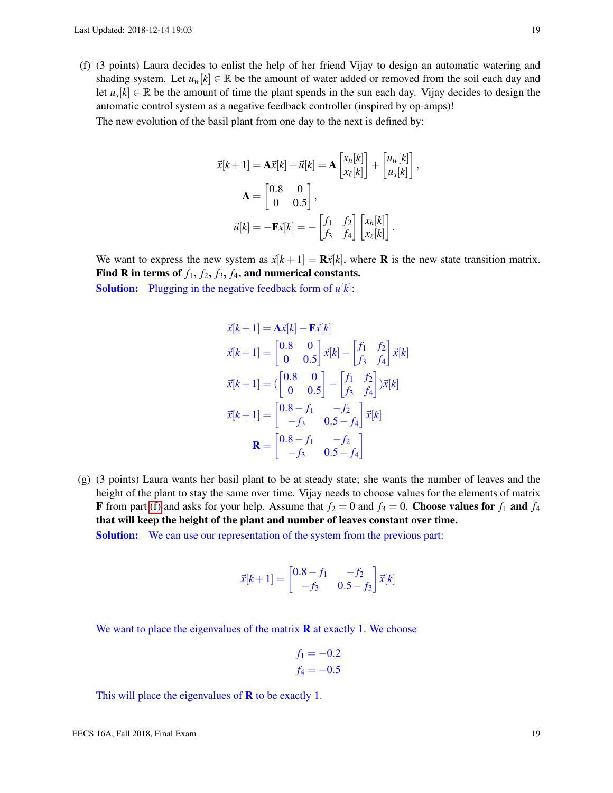<span id="page-18-0"></span>(f) (3 points) Laura decides to enlist the help of her friend Vijay to design an automatic watering and shading system. Let  $u_w[k] \in \mathbb{R}$  be the amount of water added or removed from the soil each day and let  $u_s[k] \in \mathbb{R}$  be the amount of time the plant spends in the sun each day. Vijay decides to design the automatic control system as a negative feedback controller (inspired by op-amps)!

The new evolution of the basil plant from one day to the next is defined by:

$$
\vec{x}[k+1] = \mathbf{A}\vec{x}[k] + \vec{u}[k] = \mathbf{A} \begin{bmatrix} x_h[k] \\ x_{\ell}[k] \end{bmatrix} + \begin{bmatrix} u_w[k] \\ u_s[k] \end{bmatrix},
$$

$$
\mathbf{A} = \begin{bmatrix} 0.8 & 0 \\ 0 & 0.5 \end{bmatrix},
$$

$$
\vec{u}[k] = -\mathbf{F}\vec{x}[k] = -\begin{bmatrix} f_1 & f_2 \\ f_3 & f_4 \end{bmatrix} \begin{bmatrix} x_h[k] \\ x_{\ell}[k] \end{bmatrix}.
$$

We want to express the new system as  $\vec{x}[k+1] = \mathbf{R}\vec{x}[k]$ , where **R** is the new state transition matrix. Find R in terms of  $f_1$ ,  $f_2$ ,  $f_3$ ,  $f_4$ , and numerical constants.

Solution: Plugging in the negative feedback form of *u*[*k*]:

$$
\vec{x}[k+1] = \mathbf{A}\vec{x}[k] - \mathbf{F}\vec{x}[k]
$$
\n
$$
\vec{x}[k+1] = \begin{bmatrix} 0.8 & 0 \\ 0 & 0.5 \end{bmatrix} \vec{x}[k] - \begin{bmatrix} f_1 & f_2 \\ f_3 & f_4 \end{bmatrix} \vec{x}[k]
$$
\n
$$
\vec{x}[k+1] = (\begin{bmatrix} 0.8 & 0 \\ 0 & 0.5 \end{bmatrix} - \begin{bmatrix} f_1 & f_2 \\ f_3 & f_4 \end{bmatrix}) \vec{x}[k]
$$
\n
$$
\vec{x}[k+1] = \begin{bmatrix} 0.8 - f_1 & -f_2 \\ -f_3 & 0.5 - f_4 \end{bmatrix} \vec{x}[k]
$$
\n
$$
\mathbf{R} = \begin{bmatrix} 0.8 - f_1 & -f_2 \\ -f_3 & 0.5 - f_4 \end{bmatrix}
$$

(g) (3 points) Laura wants her basil plant to be at steady state; she wants the number of leaves and the height of the plant to stay the same over time. Vijay needs to choose values for the elements of matrix **F** from part [\(f\)](#page-18-0) and asks for your help. Assume that  $f_2 = 0$  and  $f_3 = 0$ . Choose values for  $f_1$  and  $f_4$ that will keep the height of the plant and number of leaves constant over time.

Solution: We can use our representation of the system from the previous part:

$$
\vec{x}[k+1] = \begin{bmatrix} 0.8 - f_1 & -f_2 \\ -f_3 & 0.5 - f_3 \end{bmatrix} \vec{x}[k]
$$

We want to place the eigenvalues of the matrix  **at exactly 1. We choose** 

$$
f_1 = -0.2
$$
  

$$
f_4 = -0.5
$$

This will place the eigenvalues of  **to be exactly 1.**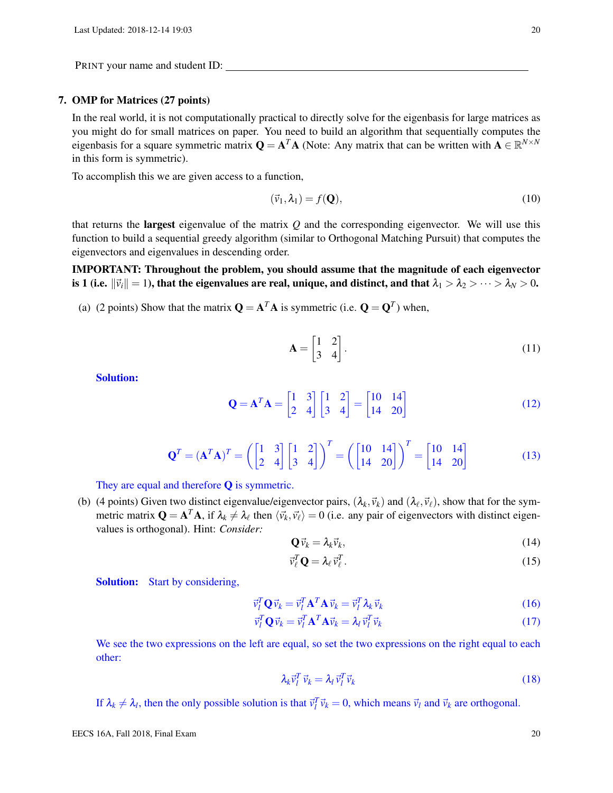#### 7. OMP for Matrices (27 points)

In the real world, it is not computationally practical to directly solve for the eigenbasis for large matrices as you might do for small matrices on paper. You need to build an algorithm that sequentially computes the eigenbasis for a square symmetric matrix  $Q = A^T A$  (Note: Any matrix that can be written with  $A \in \mathbb{R}^{N \times N}$ in this form is symmetric).

To accomplish this we are given access to a function,

$$
(\vec{v}_1, \lambda_1) = f(\mathbf{Q}),\tag{10}
$$

that returns the largest eigenvalue of the matrix *Q* and the corresponding eigenvector. We will use this function to build a sequential greedy algorithm (similar to Orthogonal Matching Pursuit) that computes the eigenvectors and eigenvalues in descending order.

IMPORTANT: Throughout the problem, you should assume that the magnitude of each eigenvector is 1 (i.e.  $\|\vec{v}_i\|=1$ ), that the eigenvalues are real, unique, and distinct, and that  $\lambda_1 > \lambda_2 > \cdots > \lambda_N > 0$ .

(a) (2 points) Show that the matrix  $\mathbf{Q} = \mathbf{A}^T \mathbf{A}$  is symmetric (i.e.  $\mathbf{Q} = \mathbf{Q}^T$ ) when,

$$
\mathbf{A} = \begin{bmatrix} 1 & 2 \\ 3 & 4 \end{bmatrix} . \tag{11}
$$

Solution:

$$
\mathbf{Q} = \mathbf{A}^T \mathbf{A} = \begin{bmatrix} 1 & 3 \\ 2 & 4 \end{bmatrix} \begin{bmatrix} 1 & 2 \\ 3 & 4 \end{bmatrix} = \begin{bmatrix} 10 & 14 \\ 14 & 20 \end{bmatrix}
$$
(12)

$$
\mathbf{Q}^T = (\mathbf{A}^T \mathbf{A})^T = \left( \begin{bmatrix} 1 & 3 \\ 2 & 4 \end{bmatrix} \begin{bmatrix} 1 & 2 \\ 3 & 4 \end{bmatrix} \right)^T = \left( \begin{bmatrix} 10 & 14 \\ 14 & 20 \end{bmatrix} \right)^T = \begin{bmatrix} 10 & 14 \\ 14 & 20 \end{bmatrix}
$$
(13)

They are equal and therefore **Q** is symmetric.

(b) (4 points) Given two distinct eigenvalue/eigenvector pairs,  $(\lambda_k, \vec{v}_k)$  and  $(\lambda_\ell, \vec{v}_\ell)$ , show that for the symmetric matrix  $Q = A^T A$ , if  $\lambda_k \neq \lambda_\ell$  then  $\langle \vec{v}_k, \vec{v}_\ell \rangle = 0$  (i.e. any pair of eigenvectors with distinct eigenvalues is orthogonal). Hint: *Consider:*

$$
\mathbf{Q}\vec{v}_k = \lambda_k \vec{v}_k,\tag{14}
$$

$$
\vec{v}_{\ell}^T \mathbf{Q} = \lambda_{\ell} \vec{v}_{\ell}^T. \tag{15}
$$

Solution: Start by considering,

$$
\vec{v}_l^T \mathbf{Q} \vec{v}_k = \vec{v}_l^T \mathbf{A}^T \mathbf{A} \vec{v}_k = \vec{v}_l^T \lambda_k \vec{v}_k
$$
\n(16)

$$
\vec{v}_l^T \mathbf{Q} \vec{v}_k = \vec{v}_l^T \mathbf{A}^T \mathbf{A} \vec{v}_k = \lambda_l \vec{v}_l^T \vec{v}_k
$$
\n(17)

We see the two expressions on the left are equal, so set the two expressions on the right equal to each other:

$$
\lambda_k \vec{\nu}_l^T \vec{\nu}_k = \lambda_l \vec{\nu}_l^T \vec{\nu}_k \tag{18}
$$

If  $\lambda_k \neq \lambda_l$ , then the only possible solution is that  $\vec{v}_l^T \vec{v}_k = 0$ , which means  $\vec{v}_l$  and  $\vec{v}_k$  are orthogonal.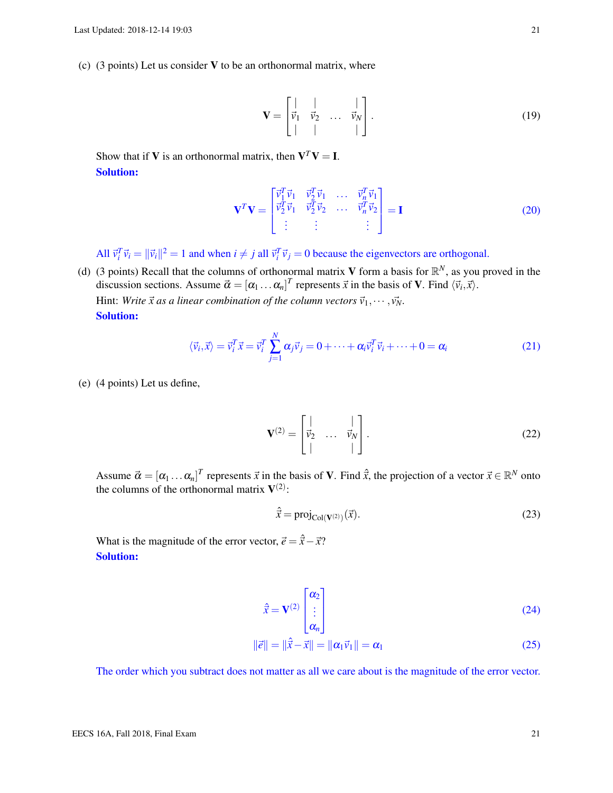(c) (3 points) Let us consider  $V$  to be an orthonormal matrix, where

$$
\mathbf{V} = \begin{bmatrix} | & | & \cdots & | \\ \vec{v}_1 & \vec{v}_2 & \cdots & \vec{v}_N \\ | & | & \cdots & | \end{bmatrix} . \tag{19}
$$

Show that if **V** is an orthonormal matrix, then  $V^T V = I$ . Solution:

$$
\mathbf{V}^T \mathbf{V} = \begin{bmatrix} \vec{v}_1^T \vec{v}_1 & \vec{v}_2^T \vec{v}_1 & \dots & \vec{v}_n^T \vec{v}_1 \\ \vec{v}_2^T \vec{v}_1 & \vec{v}_2^T \vec{v}_2 & \dots & \vec{v}_n^T \vec{v}_2 \\ \vdots & \vdots & \ddots & \vdots \end{bmatrix} = \mathbf{I}
$$
(20)

All  $\vec{v}_i^T \vec{v}_i = ||\vec{v}_i||^2 = 1$  and when  $i \neq j$  all  $\vec{v}_i^T \vec{v}_j = 0$  because the eigenvectors are orthogonal.

(d) (3 points) Recall that the columns of orthonormal matrix V form a basis for  $\mathbb{R}^N$ , as you proved in the discussion sections. Assume  $\vec{\alpha} = [\alpha_1 \dots \alpha_n]^T$  represents  $\vec{x}$  in the basis of **V**. Find  $\langle \vec{v}_i, \vec{x} \rangle$ . Hint: *Write*  $\vec{x}$  as a linear combination of the column vectors  $\vec{v}_1, \dots, \vec{v}_N$ . Solution:

$$
\langle \vec{v}_i, \vec{x} \rangle = \vec{v}_i^T \vec{x} = \vec{v}_i^T \sum_{j=1}^N \alpha_j \vec{v}_j = 0 + \dots + \alpha_i \vec{v}_i^T \vec{v}_i + \dots + 0 = \alpha_i \tag{21}
$$

(e) (4 points) Let us define,

$$
\mathbf{V}^{(2)} = \begin{bmatrix} | & & | \\ \vec{v}_2 & \dots & \vec{v}_N \\ | & & | \end{bmatrix} . \tag{22}
$$

Assume  $\vec{\alpha} = [\alpha_1 \dots \alpha_n]^T$  represents  $\vec{x}$  in the basis of **V**. Find  $\hat{\vec{x}}$ , the projection of a vector  $\vec{x} \in \mathbb{R}^N$  onto the columns of the orthonormal matrix  $V^{(2)}$ :

$$
\hat{\vec{x}} = \text{proj}_{\text{Col}(\mathbf{V}^{(2)})}(\vec{x}).\tag{23}
$$

What is the magnitude of the error vector,  $\vec{e} = \hat{\vec{x}} - \vec{x}$ ? Solution:

$$
\hat{\vec{x}} = \mathbf{V}^{(2)} \begin{bmatrix} \alpha_2 \\ \vdots \\ \alpha_n \end{bmatrix}
$$
 (24)

$$
\|\vec{e}\| = \|\hat{\vec{x}} - \vec{x}\| = \|\alpha_1 \vec{v}_1\| = \alpha_1
$$
\n(25)

The order which you subtract does not matter as all we care about is the magnitude of the error vector.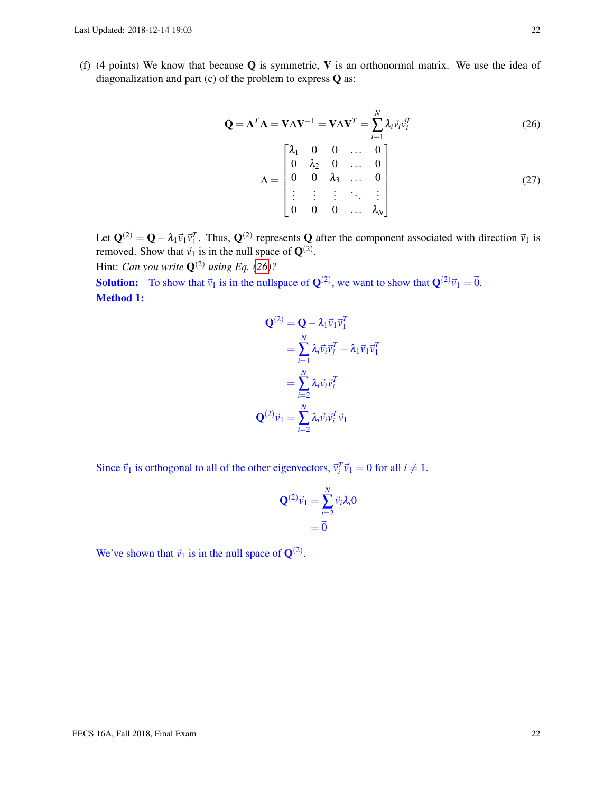<span id="page-21-1"></span>(f) (4 points) We know that because  $Q$  is symmetric, V is an orthonormal matrix. We use the idea of diagonalization and part (c) of the problem to express Q as:

$$
\mathbf{Q} = \mathbf{A}^T \mathbf{A} = \mathbf{V} \mathbf{\Lambda} \mathbf{V}^{-1} = \mathbf{V} \mathbf{\Lambda} \mathbf{V}^T = \sum_{i=1}^N \lambda_i \vec{v}_i \vec{v}_i^T
$$
(26)  

$$
\mathbf{\Lambda} = \begin{bmatrix} \lambda_1 & 0 & 0 & \dots & 0 \\ 0 & \lambda_2 & 0 & \dots & 0 \\ 0 & 0 & \lambda_3 & \dots & 0 \\ \vdots & \vdots & \vdots & \ddots & \vdots \\ 0 & 0 & 0 & \dots & \lambda_N \end{bmatrix}
$$
(27)

<span id="page-21-0"></span>*T* 1

Let  $\mathbf{Q}^{(2)} = \mathbf{Q} - \lambda_1 \vec{v}_1 \vec{v}_1^T$ . Thus,  $\mathbf{Q}^{(2)}$  represents  $\mathbf{Q}$  after the component associated with direction  $\vec{v}_1$  is removed. Show that  $\vec{v}_1$  is in the null space of  $\mathbf{Q}^{(2)}$ .

Hint: *Can you write*  $\mathbf{Q}^{(2)}$  *using Eq.* [\(26\)](#page-21-0)?

**Solution:** To show that  $\vec{v}_1$  is in the nullspace of  $\mathbf{Q}^{(2)}$ , we want to show that  $\mathbf{Q}^{(2)}\vec{v}_1 = \vec{0}$ . Method 1:

$$
\mathbf{Q}^{(2)} = \mathbf{Q} - \lambda_1 \vec{v}_1 \vec{v}_1^T
$$

$$
= \sum_{i=1}^N \lambda_i \vec{v}_i \vec{v}_i^T - \lambda_1 \vec{v}_1 \vec{v}_1^T
$$

$$
= \sum_{i=2}^N \lambda_i \vec{v}_i \vec{v}_i^T
$$

$$
\mathbf{Q}^{(2)} \vec{v}_1 = \sum_{i=2}^N \lambda_i \vec{v}_i \vec{v}_i^T \vec{v}_1
$$

Since  $\vec{v}_1$  is orthogonal to all of the other eigenvectors,  $\vec{v}_i^T \vec{v}_1 = 0$  for all  $i \neq 1$ .

$$
\mathbf{Q}^{(2)}\vec{v}_1 = \sum_{i=2}^N \vec{v}_i \lambda_i 0
$$
  
=  $\vec{0}$ 

We've shown that  $\vec{v}_1$  is in the null space of  $\mathbf{Q}^{(2)}$ .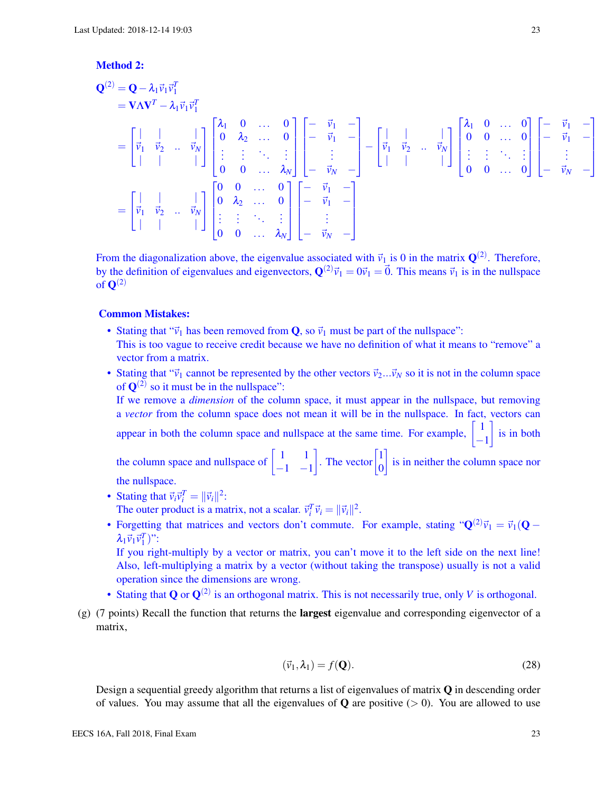## Method 2:

$$
\mathbf{Q}^{(2)} = \mathbf{Q} - \lambda_1 \vec{v}_1 \vec{v}_1^T \n= \mathbf{V} \mathbf{\Lambda} \mathbf{V}^T - \lambda_1 \vec{v}_1 \vec{v}_1^T \n= \begin{bmatrix} \vec{v}_1 & \vec{v}_2 & \dots & \vec{v}_N \\ \vec{v}_1 & \vec{v}_2 & \dots & \vec{v}_N \end{bmatrix} \begin{bmatrix} \lambda_1 & 0 & \dots & 0 \\ 0 & \lambda_2 & \dots & 0 \\ \vdots & \vdots & \ddots & \vdots \\ 0 & 0 & \dots & \lambda_N \end{bmatrix} \begin{bmatrix} -\vec{v}_1 & - \\ -\vec{v}_1 & - \\ \vdots & \vdots & \ddots & \vdots \\ -\vec{v}_N & - \end{bmatrix} - \begin{bmatrix} \vec{v}_1 & \vec{v}_2 & \dots & \vec{v}_N \\ \vec{v}_1 & \vec{v}_2 & \dots & \vec{v}_N \end{bmatrix} \begin{bmatrix} \lambda_1 & 0 & \dots & 0 \\ 0 & 0 & \dots & 0 \\ \vdots & \vdots & \ddots & \vdots \\ 0 & 0 & \dots & 0 \end{bmatrix} \begin{bmatrix} -\vec{v}_1 & - \\ -\vec{v}_1 & - \\ \vdots & \vdots & \ddots & \vdots \\ -\vec{v}_N & - \end{bmatrix}
$$
\n
$$
= \begin{bmatrix} \vec{v}_1 & \vec{v}_2 & \dots & \vec{v}_N \\ \vec{v}_1 & \vec{v}_2 & \dots & \vec{v}_N \\ \vdots & \vdots & \ddots & \vdots \\ 0 & 0 & \dots & \lambda_N \end{bmatrix} \begin{bmatrix} -\vec{v}_1 & - \\ -\vec{v}_1 & - \\ -\vec{v}_1 & - \\ \vdots & \vdots & \ddots & \vdots \\ -\vec{v}_N & - \end{bmatrix}
$$

From the diagonalization above, the eigenvalue associated with  $\vec{v}_1$  is 0 in the matrix  $\mathbf{Q}^{(2)}$ . Therefore, by the definition of eigenvalues and eigenvectors,  $\mathbf{Q}^{(2)}\vec{v}_1 = 0\vec{v}_1 = \vec{0}$ . This means  $\vec{v}_1$  is in the nullspace of  $\mathbf{Q}^{(2)}$ 

#### Common Mistakes:

- Stating that " $\vec{v}_1$  has been removed from **Q**, so  $\vec{v}_1$  must be part of the nullspace": This is too vague to receive credit because we have no definition of what it means to "remove" a vector from a matrix.
- Stating that " $\vec{v}_1$  cannot be represented by the other vectors  $\vec{v}_2...\vec{v}_N$  so it is not in the column space of  $\mathbf{Q}^{(2)}$  so it must be in the nullspace":

If we remove a *dimension* of the column space, it must appear in the nullspace, but removing a *vector* from the column space does not mean it will be in the nullspace. In fact, vectors can  $\int$  is in both

appear in both the column space and nullspace at the same time. For example,  $\begin{bmatrix} 1 \end{bmatrix}$ 

the column space and nullspace of  $\begin{bmatrix} 1 & 1 \\ 1 & 1 \end{bmatrix}$  $-1$   $-1$ . The vector  $\begin{bmatrix} 1 \\ 0 \end{bmatrix}$ 0 is in neither the column space nor the nullspace.

- Stating that  $\vec{v}_i \vec{v}_i^T = ||\vec{v}_i||^2$ : The outer product is a matrix, not a scalar.  $\vec{v}_i^T \vec{v}_i = ||\vec{v}_i||^2$ .
- Forgetting that matrices and vectors don't commute. For example, stating " $Q^{(2)}\vec{v}_1 = \vec{v}_1(Q \vec{v}_2)$ "  $\lambda_1 \vec{v}_1 \vec{v}_1^T$ ":

If you right-multiply by a vector or matrix, you can't move it to the left side on the next line! Also, left-multiplying a matrix by a vector (without taking the transpose) usually is not a valid operation since the dimensions are wrong.

- Stating that  $Q$  or  $Q^{(2)}$  is an orthogonal matrix. This is not necessarily true, only *V* is orthogonal.
- $(g)$  (7 points) Recall the function that returns the **largest** eigenvalue and corresponding eigenvector of a matrix,

$$
(\vec{v}_1, \lambda_1) = f(\mathbf{Q}).\tag{28}
$$

Design a sequential greedy algorithm that returns a list of eigenvalues of matrix  $\bf{Q}$  in descending order of values. You may assume that all the eigenvalues of **Q** are positive  $(> 0)$ . You are allowed to use 1  $\mathbf{I}$  $\mathbf{I}$  $\mathbf{I}$  $\mathsf{I}$ 

<span id="page-22-0"></span>−1